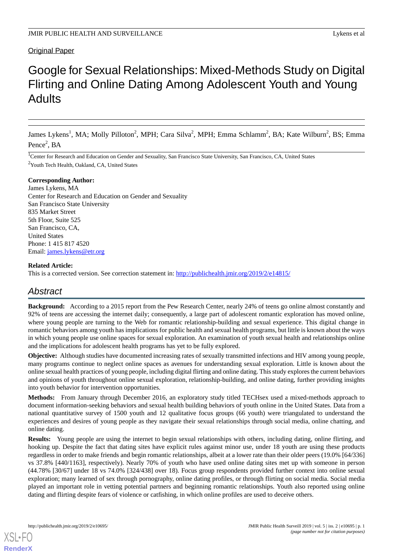# **Original Paper**

# Google for Sexual Relationships: Mixed-Methods Study on Digital Flirting and Online Dating Among Adolescent Youth and Young Adults

James Lykens<sup>1</sup>, MA; Molly Pilloton<sup>2</sup>, MPH; Cara Silva<sup>2</sup>, MPH; Emma Schlamm<sup>2</sup>, BA; Kate Wilburn<sup>2</sup>, BS; Emma Pence<sup>2</sup>, BA

<sup>1</sup>Center for Research and Education on Gender and Sexuality, San Francisco State University, San Francisco, CA, United States <sup>2</sup>Youth Tech Health, Oakland, CA, United States

## **Corresponding Author:**

James Lykens, MA Center for Research and Education on Gender and Sexuality San Francisco State University 835 Market Street 5th Floor, Suite 525 San Francisco, CA, United States Phone: 1 415 817 4520 Email: [james.lykens@etr.org](mailto:james.lykens@etr.org)

# **Related Article:**

This is a corrected version. See correction statement in: <http://publichealth.jmir.org/2019/2/e14815/>

# *Abstract*

**Background:** According to a 2015 report from the Pew Research Center, nearly 24% of teens go online almost constantly and 92% of teens are accessing the internet daily; consequently, a large part of adolescent romantic exploration has moved online, where young people are turning to the Web for romantic relationship-building and sexual experience. This digital change in romantic behaviors among youth has implications for public health and sexual health programs, but little is known about the ways in which young people use online spaces for sexual exploration. An examination of youth sexual health and relationships online and the implications for adolescent health programs has yet to be fully explored.

**Objective:** Although studies have documented increasing rates of sexually transmitted infections and HIV among young people, many programs continue to neglect online spaces as avenues for understanding sexual exploration. Little is known about the online sexual health practices of young people, including digital flirting and online dating. This study explores the current behaviors and opinions of youth throughout online sexual exploration, relationship-building, and online dating, further providing insights into youth behavior for intervention opportunities.

**Methods:** From January through December 2016, an exploratory study titled TECHsex used a mixed-methods approach to document information-seeking behaviors and sexual health building behaviors of youth online in the United States. Data from a national quantitative survey of 1500 youth and 12 qualitative focus groups (66 youth) were triangulated to understand the experiences and desires of young people as they navigate their sexual relationships through social media, online chatting, and online dating.

**Results:** Young people are using the internet to begin sexual relationships with others, including dating, online flirting, and hooking up. Despite the fact that dating sites have explicit rules against minor use, under 18 youth are using these products regardless in order to make friends and begin romantic relationships, albeit at a lower rate than their older peers (19.0% [64/336] vs 37.8% [440/1163], respectively). Nearly 70% of youth who have used online dating sites met up with someone in person (44.78% [30/67] under 18 vs 74.0% [324/438] over 18). Focus group respondents provided further context into online sexual exploration; many learned of sex through pornography, online dating profiles, or through flirting on social media. Social media played an important role in vetting potential partners and beginning romantic relationships. Youth also reported using online dating and flirting despite fears of violence or catfishing, in which online profiles are used to deceive others.

[XSL](http://www.w3.org/Style/XSL)•FO **[RenderX](http://www.renderx.com/)**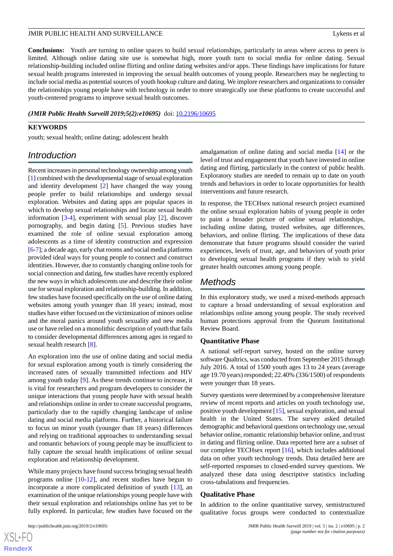**Conclusions:** Youth are turning to online spaces to build sexual relationships, particularly in areas where access to peers is limited. Although online dating site use is somewhat high, more youth turn to social media for online dating. Sexual relationship-building included online flirting and online dating websites and/or apps. These findings have implications for future sexual health programs interested in improving the sexual health outcomes of young people. Researchers may be neglecting to include social media as potential sources of youth hookup culture and dating. We implore researchers and organizations to consider the relationships young people have with technology in order to more strategically use these platforms to create successful and youth-centered programs to improve sexual health outcomes.

*(JMIR Public Health Surveill 2019;5(2):e10695)* doi:  $10.2196/10695$ 

#### **KEYWORDS**

youth; sexual health; online dating; adolescent health

# *Introduction*

Recent increases in personal technology ownership among youth [[1\]](#page-6-0) combined with the developmental stage of sexual exploration and identity development [\[2](#page-6-1)] have changed the way young people prefer to build relationships and undergo sexual exploration. Websites and dating apps are popular spaces in which to develop sexual relationships and locate sexual health information [[3](#page-6-2)[-4](#page-6-3)], experiment with sexual play [\[2](#page-6-1)], discover pornography, and begin dating [[5\]](#page-6-4). Previous studies have examined the role of online sexual exploration among adolescents as a time of identity construction and expression [[6-](#page-6-5)[7\]](#page-6-6); a decade ago, early chat rooms and social media platforms provided ideal ways for young people to connect and construct identities. However, due to constantly changing online tools for social connection and dating, few studies have recently explored the new ways in which adolescents use and describe their online use for sexual exploration and relationship-building. In addition, few studies have focused specifically on the use of online dating websites among youth younger than 18 years; instead, most studies have either focused on the victimization of minors online and the moral panics around youth sexuality and new media use or have relied on a monolithic description of youth that fails to consider developmental differences among ages in regard to sexual health research [\[8\]](#page-6-7).

An exploration into the use of online dating and social media for sexual exploration among youth is timely considering the increased rates of sexually transmitted infections and HIV among youth today [\[9](#page-6-8)]. As these trends continue to increase, it is vital for researchers and program developers to consider the unique interactions that young people have with sexual health and relationships online in order to create successful programs, particularly due to the rapidly changing landscape of online dating and social media platforms. Further, a historical failure to focus on minor youth (younger than 18 years) differences and relying on traditional approaches to understanding sexual and romantic behaviors of young people may be insufficient to fully capture the sexual health implications of online sexual exploration and relationship development.

While many projects have found success bringing sexual health programs online [[10-](#page-6-9)[12](#page-6-10)], and recent studies have begun to incorporate a more complicated definition of youth [\[13](#page-6-11)], an examination of the unique relationships young people have with their sexual exploration and relationships online has yet to be fully explored. In particular, few studies have focused on the

 $XS$  $\cdot$ FC **[RenderX](http://www.renderx.com/)** amalgamation of online dating and social media [\[14](#page-6-12)] or the level of trust and engagement that youth have invested in online dating and flirting, particularly in the context of public health. Exploratory studies are needed to remain up to date on youth trends and behaviors in order to locate opportunities for health interventions and future research.

In response, the TECHsex national research project examined the online sexual exploration habits of young people in order to paint a broader picture of online sexual relationships, including online dating, trusted websites, age differences, behaviors, and online flirting. The implications of these data demonstrate that future programs should consider the varied experiences, levels of trust, age, and behaviors of youth prior to developing sexual health programs if they wish to yield greater health outcomes among young people.

# *Methods*

In this exploratory study, we used a mixed-methods approach to capture a broad understanding of sexual exploration and relationships online among young people. The study received human protections approval from the Quorum Institutional Review Board.

#### **Quantitative Phase**

A national self-report survey, hosted on the online survey software Qualtrics, was conducted from September 2015 through July 2016. A total of 1500 youth ages 13 to 24 years (average age 19.70 years) responded; 22.40% (336/1500) of respondents were younger than 18 years.

Survey questions were determined by a comprehensive literature review of recent reports and articles on youth technology use, positive youth development [\[15](#page-6-13)], sexual exploration, and sexual health in the United States. The survey asked detailed demographic and behavioral questions on technology use, sexual behavior online, romantic relationship behavior online, and trust in dating and flirting online. Data reported here are a subset of our complete TECHsex report [[16](#page-6-14)], which includes additional data on other youth technology trends. Data detailed here are self-reported responses to closed-ended survey questions. We analyzed these data using descriptive statistics including cross-tabulations and frequencies.

#### **Qualitative Phase**

In addition to the online quantitative survey, semistructured qualitative focus groups were conducted to contextualize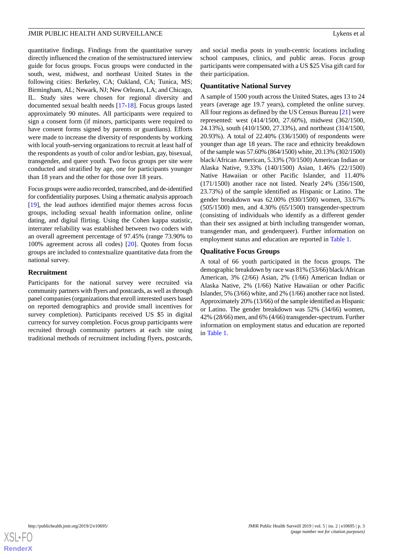quantitative findings. Findings from the quantitative survey directly influenced the creation of the semistructured interview guide for focus groups. Focus groups were conducted in the south, west, midwest, and northeast United States in the following cities: Berkeley, CA; Oakland, CA; Tunica, MS; Birmingham, AL; Newark, NJ; New Orleans, LA; and Chicago, IL. Study sites were chosen for regional diversity and documented sexual health needs [\[17](#page-6-15)-[18\]](#page-6-16). Focus groups lasted approximately 90 minutes. All participants were required to sign a consent form (if minors, participants were required to have consent forms signed by parents or guardians). Efforts were made to increase the diversity of respondents by working with local youth-serving organizations to recruit at least half of the respondents as youth of color and/or lesbian, gay, bisexual, transgender, and queer youth. Two focus groups per site were conducted and stratified by age, one for participants younger than 18 years and the other for those over 18 years.

Focus groups were audio recorded, transcribed, and de-identified for confidentiality purposes. Using a thematic analysis approach [[19\]](#page-7-0), the lead authors identified major themes across focus groups, including sexual health information online, online dating, and digital flirting. Using the Cohen kappa statistic, interrater reliability was established between two coders with an overall agreement percentage of 97.45% (range 73.90% to 100% agreement across all codes) [[20\]](#page-7-1). Quotes from focus groups are included to contextualize quantitative data from the national survey.

## **Recruitment**

Participants for the national survey were recruited via community partners with flyers and postcards, as well as through panel companies (organizations that enroll interested users based on reported demographics and provide small incentives for survey completion). Participants received US \$5 in digital currency for survey completion. Focus group participants were recruited through community partners at each site using traditional methods of recruitment including flyers, postcards,

and social media posts in youth-centric locations including school campuses, clinics, and public areas. Focus group participants were compensated with a US \$25 Visa gift card for their participation.

# **Quantitative National Survey**

A sample of 1500 youth across the United States, ages 13 to 24 years (average age 19.7 years), completed the online survey. All four regions as defined by the US Census Bureau [[21\]](#page-7-2) were represented: west (414/1500, 27.60%), midwest (362/1500, 24.13%), south (410/1500, 27.33%), and northeast (314/1500, 20.93%). A total of 22.40% (336/1500) of respondents were younger than age 18 years. The race and ethnicity breakdown of the sample was 57.60% (864/1500) white, 20.13% (302/1500) black/African American, 5.33% (70/1500) American Indian or Alaska Native, 9.33% (140/1500) Asian, 1.46% (22/1500) Native Hawaiian or other Pacific Islander, and 11.40% (171/1500) another race not listed. Nearly 24% (356/1500, 23.73%) of the sample identified as Hispanic or Latino. The gender breakdown was 62.00% (930/1500) women, 33.67% (505/1500) men, and 4.30% (65/1500) transgender-spectrum (consisting of individuals who identify as a different gender than their sex assigned at birth including transgender woman, transgender man, and genderqueer). Further information on employment status and education are reported in [Table 1.](#page-3-0)

# **Qualitative Focus Groups**

A total of 66 youth participated in the focus groups. The demographic breakdown by race was 81% (53/66) black/African American, 3% (2/66) Asian, 2% (1/66) American Indian or Alaska Native, 2% (1/66) Native Hawaiian or other Pacific Islander, 5% (3/66) white, and 2% (1/66) another race not listed. Approximately 20% (13/66) of the sample identified as Hispanic or Latino. The gender breakdown was 52% (34/66) women, 42% (28/66) men, and 6% (4/66) transgender-spectrum. Further information on employment status and education are reported in [Table 1](#page-3-0).

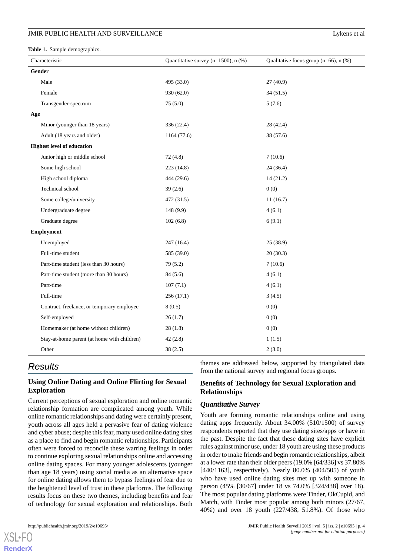#### **JMIR PUBLIC HEALTH AND SURVEILLANCE Lykens et al.** Lykens et al.

<span id="page-3-0"></span>**Table 1.** Sample demographics.

| Characteristic |                                             | Quantitative survey ( $n=1500$ ), $n$ (%) | Qualitative focus group ( $n=66$ ), $n$ (%) |
|----------------|---------------------------------------------|-------------------------------------------|---------------------------------------------|
| Gender         |                                             |                                           |                                             |
|                | Male                                        | 495 (33.0)                                | 27(40.9)                                    |
|                | Female                                      | 930 (62.0)                                | 34(51.5)                                    |
|                | Transgender-spectrum                        | 75(5.0)                                   | 5(7.6)                                      |
| Age            |                                             |                                           |                                             |
|                | Minor (younger than 18 years)               | 336 (22.4)                                | 28 (42.4)                                   |
|                | Adult (18 years and older)                  | 1164 (77.6)                               | 38 (57.6)                                   |
|                | <b>Highest level of education</b>           |                                           |                                             |
|                | Junior high or middle school                | 72(4.8)                                   | 7(10.6)                                     |
|                | Some high school                            | 223 (14.8)                                | 24(36.4)                                    |
|                | High school diploma                         | 444 (29.6)                                | 14(21.2)                                    |
|                | Technical school                            | 39(2.6)                                   | 0(0)                                        |
|                | Some college/university                     | 472 (31.5)                                | 11(16.7)                                    |
|                | Undergraduate degree                        | 148(9.9)                                  | 4(6.1)                                      |
|                | Graduate degree                             | 102(6.8)                                  | 6(9.1)                                      |
| Employment     |                                             |                                           |                                             |
|                | Unemployed                                  | 247(16.4)                                 | 25(38.9)                                    |
|                | Full-time student                           | 585 (39.0)                                | 20(30.3)                                    |
|                | Part-time student (less than 30 hours)      | 79 (5.2)                                  | 7(10.6)                                     |
|                | Part-time student (more than 30 hours)      | 84(5.6)                                   | 4(6.1)                                      |
|                | Part-time                                   | 107(7.1)                                  | 4(6.1)                                      |
|                | Full-time                                   | 256(17.1)                                 | 3(4.5)                                      |
|                | Contract, freelance, or temporary employee  | 8(0.5)                                    | 0(0)                                        |
|                | Self-employed                               | 26(1.7)                                   | 0(0)                                        |
|                | Homemaker (at home without children)        | 28(1.8)                                   | 0(0)                                        |
|                | Stay-at-home parent (at home with children) | 42(2.8)                                   | 1(1.5)                                      |
|                | Other                                       | 38(2.5)                                   | 2(3.0)                                      |

# *Results*

# **Using Online Dating and Online Flirting for Sexual Exploration**

Current perceptions of sexual exploration and online romantic relationship formation are complicated among youth. While online romantic relationships and dating were certainly present, youth across all ages held a pervasive fear of dating violence and cyber abuse; despite this fear, many used online dating sites as a place to find and begin romantic relationships. Participants often were forced to reconcile these warring feelings in order to continue exploring sexual relationships online and accessing online dating spaces. For many younger adolescents (younger than age 18 years) using social media as an alternative space for online dating allows them to bypass feelings of fear due to the heightened level of trust in these platforms. The following results focus on these two themes, including benefits and fear of technology for sexual exploration and relationships. Both

themes are addressed below, supported by triangulated data from the national survey and regional focus groups.

# **Benefits of Technology for Sexual Exploration and Relationships**

## *Quantitative Survey*

Youth are forming romantic relationships online and using dating apps frequently. About 34.00% (510/1500) of survey respondents reported that they use dating sites/apps or have in the past. Despite the fact that these dating sites have explicit rules against minor use, under 18 youth are using these products in order to make friends and begin romantic relationships, albeit at a lower rate than their older peers (19.0% [64/336] vs 37.80% [440/1163], respectively). Nearly 80.0% (404/505) of youth who have used online dating sites met up with someone in person (45% [30/67] under 18 vs 74.0% [324/438] over 18). The most popular dating platforms were Tinder, OkCupid, and Match, with Tinder most popular among both minors (27/67, 40%) and over 18 youth (227/438, 51.8%). Of those who

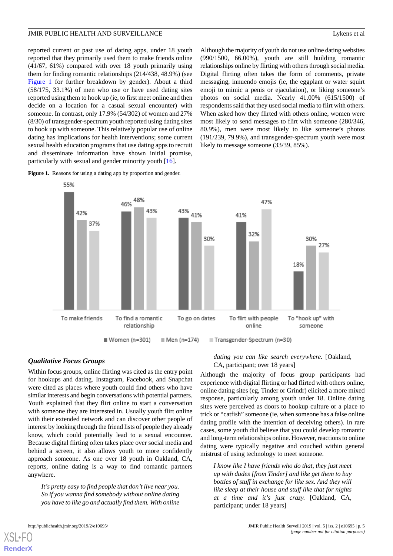reported current or past use of dating apps, under 18 youth reported that they primarily used them to make friends online (41/67, 61%) compared with over 18 youth primarily using them for finding romantic relationships (214/438, 48.9%) (see [Figure 1](#page-4-0) for further breakdown by gender). About a third (58/175, 33.1%) of men who use or have used dating sites reported using them to hook up (ie, to first meet online and then decide on a location for a casual sexual encounter) with someone. In contrast, only 17.9% (54/302) of women and 27% (8/30) of transgender-spectrum youth reported using dating sites to hook up with someone. This relatively popular use of online dating has implications for health interventions; some current sexual health education programs that use dating apps to recruit and disseminate information have shown initial promise, particularly with sexual and gender minority youth [[16\]](#page-6-14).

<span id="page-4-0"></span>Figure 1. Reasons for using a dating app by proportion and gender.

Although the majority of youth do not use online dating websites (990/1500, 66.00%), youth are still building romantic relationships online by flirting with others through social media. Digital flirting often takes the form of comments, private messaging, innuendo emojis (ie, the eggplant or water squirt emoji to mimic a penis or ejaculation), or liking someone's photos on social media. Nearly 41.00% (615/1500) of respondents said that they used social media to flirt with others. When asked how they flirted with others online, women were most likely to send messages to flirt with someone (280/346, 80.9%), men were most likely to like someone's photos (191/239, 79.9%), and transgender-spectrum youth were most likely to message someone (33/39, 85%).



# *Qualitative Focus Groups*

Within focus groups, online flirting was cited as the entry point for hookups and dating. Instagram, Facebook, and Snapchat were cited as places where youth could find others who have similar interests and begin conversations with potential partners. Youth explained that they flirt online to start a conversation with someone they are interested in. Usually youth flirt online with their extended network and can discover other people of interest by looking through the friend lists of people they already know, which could potentially lead to a sexual encounter. Because digital flirting often takes place over social media and behind a screen, it also allows youth to more confidently approach someone. As one over 18 youth in Oakland, CA, reports, online dating is a way to find romantic partners anywhere.

*It's pretty easy to find people that don't live near you. So if you wanna find somebody without online dating you have to like go and actually find them. With online*

cases, some youth did believe that you could develop romantic

and long-term relationships online. However, reactions to online dating were typically negative and couched within general mistrust of using technology to meet someone.

*dating you can like search everywhere.* [Oakland,

Although the majority of focus group participants had experience with digital flirting or had flirted with others online, online dating sites (eg, Tinder or Grindr) elicited a more mixed response, particularly among youth under 18. Online dating sites were perceived as doors to hookup culture or a place to trick or "catfish" someone (ie, when someone has a false online dating profile with the intention of deceiving others). In rare

CA, participant; over 18 years]

*I know like I have friends who do that, they just meet up with dudes [from Tinder] and like get them to buy bottles of stuff in exchange for like sex. And they will like sleep at their house and stuff like that for nights at a time and it's just crazy.* [Oakland, CA, participant; under 18 years]

[XSL](http://www.w3.org/Style/XSL)•FO **[RenderX](http://www.renderx.com/)**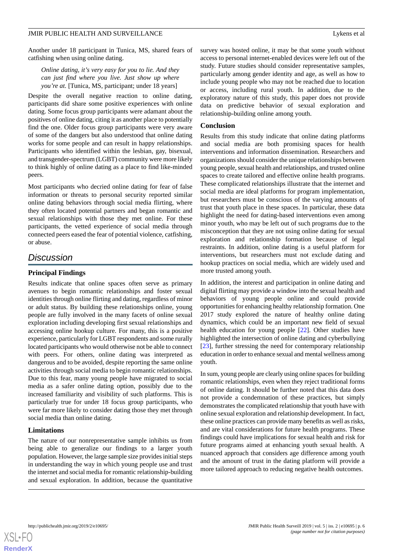Another under 18 participant in Tunica, MS, shared fears of catfishing when using online dating.

## *Online dating, it's very easy for you to lie. And they can just find where you live. Just show up where you're at.* [Tunica, MS, participant; under 18 years]

Despite the overall negative reaction to online dating, participants did share some positive experiences with online dating. Some focus group participants were adamant about the positives of online dating, citing it as another place to potentially find the one. Older focus group participants were very aware of some of the dangers but also understood that online dating works for some people and can result in happy relationships. Participants who identified within the lesbian, gay, bisexual, and transgender-spectrum (LGBT) community were more likely to think highly of online dating as a place to find like-minded peers.

Most participants who decried online dating for fear of false information or threats to personal security reported similar online dating behaviors through social media flirting, where they often located potential partners and began romantic and sexual relationships with those they met online. For these participants, the vetted experience of social media through connected peers eased the fear of potential violence, catfishing, or abuse.

# *Discussion*

## **Principal Findings**

Results indicate that online spaces often serve as primary avenues to begin romantic relationships and foster sexual identities through online flirting and dating, regardless of minor or adult status. By building these relationships online, young people are fully involved in the many facets of online sexual exploration including developing first sexual relationships and accessing online hookup culture. For many, this is a positive experience, particularly for LGBT respondents and some rurally located participants who would otherwise not be able to connect with peers. For others, online dating was interpreted as dangerous and to be avoided, despite reporting the same online activities through social media to begin romantic relationships. Due to this fear, many young people have migrated to social media as a safer online dating option, possibly due to the increased familiarity and visibility of such platforms. This is particularly true for under 18 focus group participants, who were far more likely to consider dating those they met through social media than online dating.

# **Limitations**

The nature of our nonrepresentative sample inhibits us from being able to generalize our findings to a larger youth population. However, the large sample size provides initial steps in understanding the way in which young people use and trust the internet and social media for romantic relationship-building and sexual exploration. In addition, because the quantitative survey was hosted online, it may be that some youth without access to personal internet-enabled devices were left out of the study. Future studies should consider representative samples, particularly among gender identity and age, as well as how to include young people who may not be reached due to location or access, including rural youth. In addition, due to the exploratory nature of this study, this paper does not provide data on predictive behavior of sexual exploration and relationship-building online among youth.

## **Conclusion**

Results from this study indicate that online dating platforms and social media are both promising spaces for health interventions and information dissemination. Researchers and organizations should consider the unique relationships between young people, sexual health and relationships, and trusted online spaces to create tailored and effective online health programs. These complicated relationships illustrate that the internet and social media are ideal platforms for program implementation, but researchers must be conscious of the varying amounts of trust that youth place in these spaces. In particular, these data highlight the need for dating-based interventions even among minor youth, who may be left out of such programs due to the misconception that they are not using online dating for sexual exploration and relationship formation because of legal restraints. In addition, online dating is a useful platform for interventions, but researchers must not exclude dating and hookup practices on social media, which are widely used and more trusted among youth.

In addition, the interest and participation in online dating and digital flirting may provide a window into the sexual health and behaviors of young people online and could provide opportunities for enhancing healthy relationship formation. One 2017 study explored the nature of healthy online dating dynamics, which could be an important new field of sexual health education for young people [\[22](#page-7-3)]. Other studies have highlighted the intersection of online dating and cyberbullying [[23\]](#page-7-4), further stressing the need for contemporary relationship education in order to enhance sexual and mental wellness among youth.

In sum, young people are clearly using online spaces for building romantic relationships, even when they reject traditional forms of online dating. It should be further noted that this data does not provide a condemnation of these practices, but simply demonstrates the complicated relationship that youth have with online sexual exploration and relationship development. In fact, these online practices can provide many benefits as well as risks, and are vital considerations for future health programs. These findings could have implications for sexual health and risk for future programs aimed at enhancing youth sexual health. A nuanced approach that considers age difference among youth and the amount of trust in the dating platform will provide a more tailored approach to reducing negative health outcomes.

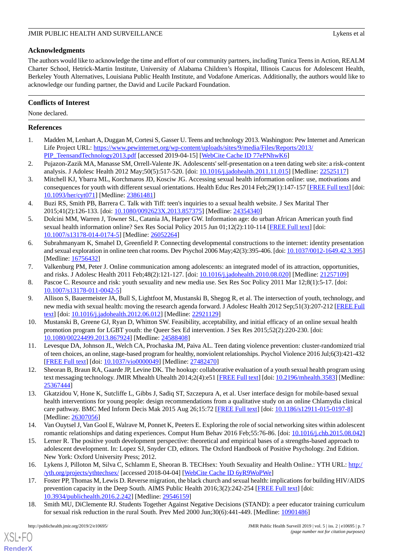# **Acknowledgments**

The authors would like to acknowledge the time and effort of our community partners, including Tunica Teens in Action, REALM Charter School, Hetrick-Martin Institute, University of Alabama Children's Hospital, Illinois Caucus for Adolescent Health, Berkeley Youth Alternatives, Louisiana Public Health Institute, and Vodafone Americas. Additionally, the authors would like to acknowledge our funding partner, the David and Lucile Packard Foundation.

# **Conflicts of Interest**

None declared.

# <span id="page-6-0"></span>**References**

- <span id="page-6-1"></span>1. Madden M, Lenhart A, Duggan M, Cortesi S, Gasser U. Teens and technology 2013. Washington: Pew Internet and American Life Project URL: [https://www.pewinternet.org/wp-content/uploads/sites/9/media/Files/Reports/2013/](https://www.pewinternet.org/wp-content/uploads/sites/9/media/Files/Reports/2013/PIP_TeensandTechnology2013.pdf) [PIP\\_TeensandTechnology2013.pdf](https://www.pewinternet.org/wp-content/uploads/sites/9/media/Files/Reports/2013/PIP_TeensandTechnology2013.pdf) [accessed 2019-04-15] [[WebCite Cache ID 77ePNhwK6](http://www.webcitation.org/

                                77ePNhwK6)]
- <span id="page-6-2"></span>2. Pujazon-Zazik MA, Manasse SM, Orrell-Valente JK. Adolescents' self-presentation on a teen dating web site: a risk-content analysis. J Adolesc Health 2012 May;50(5):517-520. [doi: [10.1016/j.jadohealth.2011.11.015](http://dx.doi.org/10.1016/j.jadohealth.2011.11.015)] [Medline: [22525117\]](http://www.ncbi.nlm.nih.gov/entrez/query.fcgi?cmd=Retrieve&db=PubMed&list_uids=22525117&dopt=Abstract)
- <span id="page-6-3"></span>3. Mitchell KJ, Ybarra ML, Korchmaros JD, Kosciw JG. Accessing sexual health information online: use, motivations and consequences for youth with different sexual orientations. Health Educ Res 2014 Feb;29(1):147-157 [[FREE Full text](http://her.oxfordjournals.org/cgi/pmidlookup?view=long&pmid=23861481)] [doi: [10.1093/her/cyt071](http://dx.doi.org/10.1093/her/cyt071)] [Medline: [23861481](http://www.ncbi.nlm.nih.gov/entrez/query.fcgi?cmd=Retrieve&db=PubMed&list_uids=23861481&dopt=Abstract)]
- <span id="page-6-4"></span>4. Buzi RS, Smith PB, Barrera C. Talk with Tiff: teen's inquiries to a sexual health website. J Sex Marital Ther 2015;41(2):126-133. [doi: [10.1080/0092623X.2013.857375\]](http://dx.doi.org/10.1080/0092623X.2013.857375) [Medline: [24354340\]](http://www.ncbi.nlm.nih.gov/entrez/query.fcgi?cmd=Retrieve&db=PubMed&list_uids=24354340&dopt=Abstract)
- <span id="page-6-5"></span>5. Dolcini MM, Warren J, Towner SL, Catania JA, Harper GW. Information age: do urban African American youth find sexual health information online? Sex Res Social Policy 2015 Jun 01;12(2):110-114 [\[FREE Full text\]](http://europepmc.org/abstract/MED/26052264) [doi: [10.1007/s13178-014-0174-5\]](http://dx.doi.org/10.1007/s13178-014-0174-5) [Medline: [26052264](http://www.ncbi.nlm.nih.gov/entrez/query.fcgi?cmd=Retrieve&db=PubMed&list_uids=26052264&dopt=Abstract)]
- <span id="page-6-6"></span>6. Subrahmanyam K, Smahel D, Greenfield P. Connecting developmental constructions to the internet: identity presentation and sexual exploration in online teen chat rooms. Dev Psychol 2006 May;42(3):395-406. [doi: [10.1037/0012-1649.42.3.395\]](http://dx.doi.org/10.1037/0012-1649.42.3.395) [Medline: [16756432](http://www.ncbi.nlm.nih.gov/entrez/query.fcgi?cmd=Retrieve&db=PubMed&list_uids=16756432&dopt=Abstract)]
- <span id="page-6-8"></span><span id="page-6-7"></span>7. Valkenburg PM, Peter J. Online communication among adolescents: an integrated model of its attraction, opportunities, and risks. J Adolesc Health 2011 Feb;48(2):121-127. [doi: [10.1016/j.jadohealth.2010.08.020](http://dx.doi.org/10.1016/j.jadohealth.2010.08.020)] [Medline: [21257109](http://www.ncbi.nlm.nih.gov/entrez/query.fcgi?cmd=Retrieve&db=PubMed&list_uids=21257109&dopt=Abstract)]
- 8. Pascoe C. Resource and risk: youth sexuality and new media use. Sex Res Soc Policy 2011 Mar 12;8(1):5-17. [doi: [10.1007/s13178-011-0042-5\]](http://dx.doi.org/10.1007/s13178-011-0042-5)
- <span id="page-6-9"></span>9. Allison S, Bauermeister JA, Bull S, Lightfoot M, Mustanski B, Shegog R, et al. The intersection of youth, technology, and new media with sexual health: moving the research agenda forward. J Adolesc Health 2012 Sep;51(3):207-212 [\[FREE Full](http://europepmc.org/abstract/MED/22921129) [text](http://europepmc.org/abstract/MED/22921129)] [doi: [10.1016/j.jadohealth.2012.06.012](http://dx.doi.org/10.1016/j.jadohealth.2012.06.012)] [Medline: [22921129](http://www.ncbi.nlm.nih.gov/entrez/query.fcgi?cmd=Retrieve&db=PubMed&list_uids=22921129&dopt=Abstract)]
- <span id="page-6-10"></span>10. Mustanski B, Greene GJ, Ryan D, Whitton SW. Feasibility, acceptability, and initial efficacy of an online sexual health promotion program for LGBT youth: the Queer Sex Ed intervention. J Sex Res 2015;52(2):220-230. [doi: [10.1080/00224499.2013.867924\]](http://dx.doi.org/10.1080/00224499.2013.867924) [Medline: [24588408\]](http://www.ncbi.nlm.nih.gov/entrez/query.fcgi?cmd=Retrieve&db=PubMed&list_uids=24588408&dopt=Abstract)
- <span id="page-6-11"></span>11. Levesque DA, Johnson JL, Welch CA, Prochaska JM, Paiva AL. Teen dating violence prevention: cluster-randomized trial of teen choices, an online, stage-based program for healthy, nonviolent relationships. Psychol Violence 2016 Jul;6(3):421-432 [[FREE Full text](http://europepmc.org/abstract/MED/27482470)] [doi: [10.1037/vio0000049\]](http://dx.doi.org/10.1037/vio0000049) [Medline: [27482470](http://www.ncbi.nlm.nih.gov/entrez/query.fcgi?cmd=Retrieve&db=PubMed&list_uids=27482470&dopt=Abstract)]
- 12. Sheoran B, Braun RA, Gaarde JP, Levine DK. The hookup: collaborative evaluation of a youth sexual health program using text messaging technology. JMIR Mhealth Uhealth 2014;2(4):e51 [\[FREE Full text\]](http://mhealth.jmir.org/2014/4/e51/) [doi: [10.2196/mhealth.3583\]](http://dx.doi.org/10.2196/mhealth.3583) [Medline: [25367444](http://www.ncbi.nlm.nih.gov/entrez/query.fcgi?cmd=Retrieve&db=PubMed&list_uids=25367444&dopt=Abstract)]
- <span id="page-6-13"></span><span id="page-6-12"></span>13. Gkatzidou V, Hone K, Sutcliffe L, Gibbs J, Sadiq ST, Szczepura A, et al. User interface design for mobile-based sexual health interventions for young people: design recommendations from a qualitative study on an online Chlamydia clinical care pathway. BMC Med Inform Decis Mak 2015 Aug 26;15:72 [\[FREE Full text\]](https://bmcmedinformdecismak.biomedcentral.com/articles/10.1186/s12911-015-0197-8) [doi: [10.1186/s12911-015-0197-8](http://dx.doi.org/10.1186/s12911-015-0197-8)] [Medline: [26307056](http://www.ncbi.nlm.nih.gov/entrez/query.fcgi?cmd=Retrieve&db=PubMed&list_uids=26307056&dopt=Abstract)]
- <span id="page-6-15"></span><span id="page-6-14"></span>14. Van Ouytsel J, Van Gool E, Walrave M, Ponnet K, Peeters E. Exploring the role of social networking sites within adolescent romantic relationships and dating experiences. Comput Hum Behav 2016 Feb;55:76-86. [doi: [10.1016/j.chb.2015.08.042](http://dx.doi.org/10.1016/j.chb.2015.08.042)]
- 15. Lerner R. The positive youth development perspective: theoretical and empirical bases of a strengths-based approach to adolescent development. In: Lopez SJ, Snyder CD, editors. The Oxford Handbook of Positive Psychology. 2nd Edition. New York: Oxford University Press; 2012.
- <span id="page-6-16"></span>16. Lykens J, Pilloton M, Silva C, Schlamm E, Sheoran B. TECHsex: Youth Sexuality and Health Online.: YTH URL: [http:/](http://yth.org/projects/ythtechsex/) [/yth.org/projects/ythtechsex/](http://yth.org/projects/ythtechsex/) [accessed 2018-04-04] [[WebCite Cache ID 6yR9WoPWe](http://www.webcitation.org/

                                6yR9WoPWe)]
- 17. Foster PP, Thomas M, Lewis D. Reverse migration, the black church and sexual health: implications for building HIV/AIDS prevention capacity in the Deep South. AIMS Public Health 2016;3(2):242-254 [\[FREE Full text\]](http://europepmc.org/abstract/MED/29546159) [doi: [10.3934/publichealth.2016.2.242\]](http://dx.doi.org/10.3934/publichealth.2016.2.242) [Medline: [29546159](http://www.ncbi.nlm.nih.gov/entrez/query.fcgi?cmd=Retrieve&db=PubMed&list_uids=29546159&dopt=Abstract)]
- 18. Smith MU, DiClemente RJ. Students Together Against Negative Decisions (STAND): a peer educator training curriculum for sexual risk reduction in the rural South. Prev Med 2000 Jun;30(6):441-449. [Medline: [10901486](http://www.ncbi.nlm.nih.gov/entrez/query.fcgi?cmd=Retrieve&db=PubMed&list_uids=10901486&dopt=Abstract)]

[XSL](http://www.w3.org/Style/XSL)•FO **[RenderX](http://www.renderx.com/)**